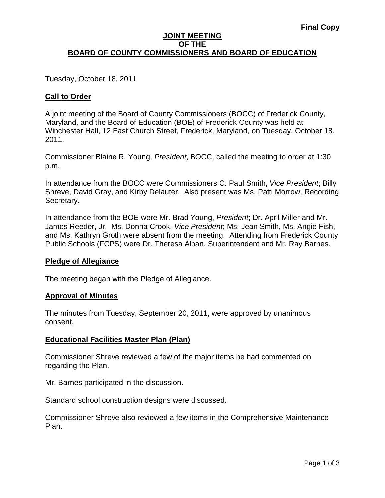#### **JOINT MEETING OF THE BOARD OF COUNTY COMMISSIONERS AND BOARD OF EDUCATION**

Tuesday, October 18, 2011

# **Call to Order**

A joint meeting of the Board of County Commissioners (BOCC) of Frederick County, Maryland, and the Board of Education (BOE) of Frederick County was held at Winchester Hall, 12 East Church Street, Frederick, Maryland, on Tuesday, October 18, 2011.

Commissioner Blaine R. Young, *President*, BOCC, called the meeting to order at 1:30 p.m.

In attendance from the BOCC were Commissioners C. Paul Smith, *Vice President*; Billy Shreve, David Gray, and Kirby Delauter. Also present was Ms. Patti Morrow, Recording Secretary.

In attendance from the BOE were Mr. Brad Young, *President*; Dr. April Miller and Mr. James Reeder, Jr. Ms. Donna Crook, *Vice President*; Ms. Jean Smith, Ms. Angie Fish, and Ms. Kathryn Groth were absent from the meeting. Attending from Frederick County Public Schools (FCPS) were Dr. Theresa Alban, Superintendent and Mr. Ray Barnes.

#### **Pledge of Allegiance**

The meeting began with the Pledge of Allegiance.

#### **Approval of Minutes**

The minutes from Tuesday, September 20, 2011, were approved by unanimous consent.

#### **Educational Facilities Master Plan (Plan)**

Commissioner Shreve reviewed a few of the major items he had commented on regarding the Plan.

Mr. Barnes participated in the discussion.

Standard school construction designs were discussed.

Commissioner Shreve also reviewed a few items in the Comprehensive Maintenance Plan.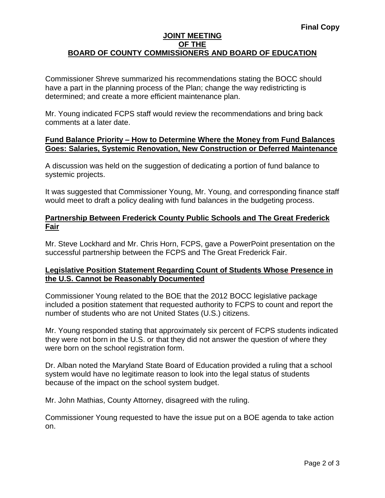#### **JOINT MEETING OF THE BOARD OF COUNTY COMMISSIONERS AND BOARD OF EDUCATION**

Commissioner Shreve summarized his recommendations stating the BOCC should have a part in the planning process of the Plan; change the way redistricting is determined; and create a more efficient maintenance plan.

Mr. Young indicated FCPS staff would review the recommendations and bring back comments at a later date.

#### **Fund Balance Priority – How to Determine Where the Money from Fund Balances Goes: Salaries, Systemic Renovation, New Construction or Deferred Maintenance**

A discussion was held on the suggestion of dedicating a portion of fund balance to systemic projects.

It was suggested that Commissioner Young, Mr. Young, and corresponding finance staff would meet to draft a policy dealing with fund balances in the budgeting process.

# **Partnership Between Frederick County Public Schools and The Great Frederick Fair**

Mr. Steve Lockhard and Mr. Chris Horn, FCPS, gave a PowerPoint presentation on the successful partnership between the FCPS and The Great Frederick Fair.

# **Legislative Position Statement Regarding Count of Students Whose Presence in the U.S. Cannot be Reasonably Documented**

Commissioner Young related to the BOE that the 2012 BOCC legislative package included a position statement that requested authority to FCPS to count and report the number of students who are not United States (U.S.) citizens.

Mr. Young responded stating that approximately six percent of FCPS students indicated they were not born in the U.S. or that they did not answer the question of where they were born on the school registration form.

Dr. Alban noted the Maryland State Board of Education provided a ruling that a school system would have no legitimate reason to look into the legal status of students because of the impact on the school system budget.

Mr. John Mathias, County Attorney, disagreed with the ruling.

Commissioner Young requested to have the issue put on a BOE agenda to take action on.